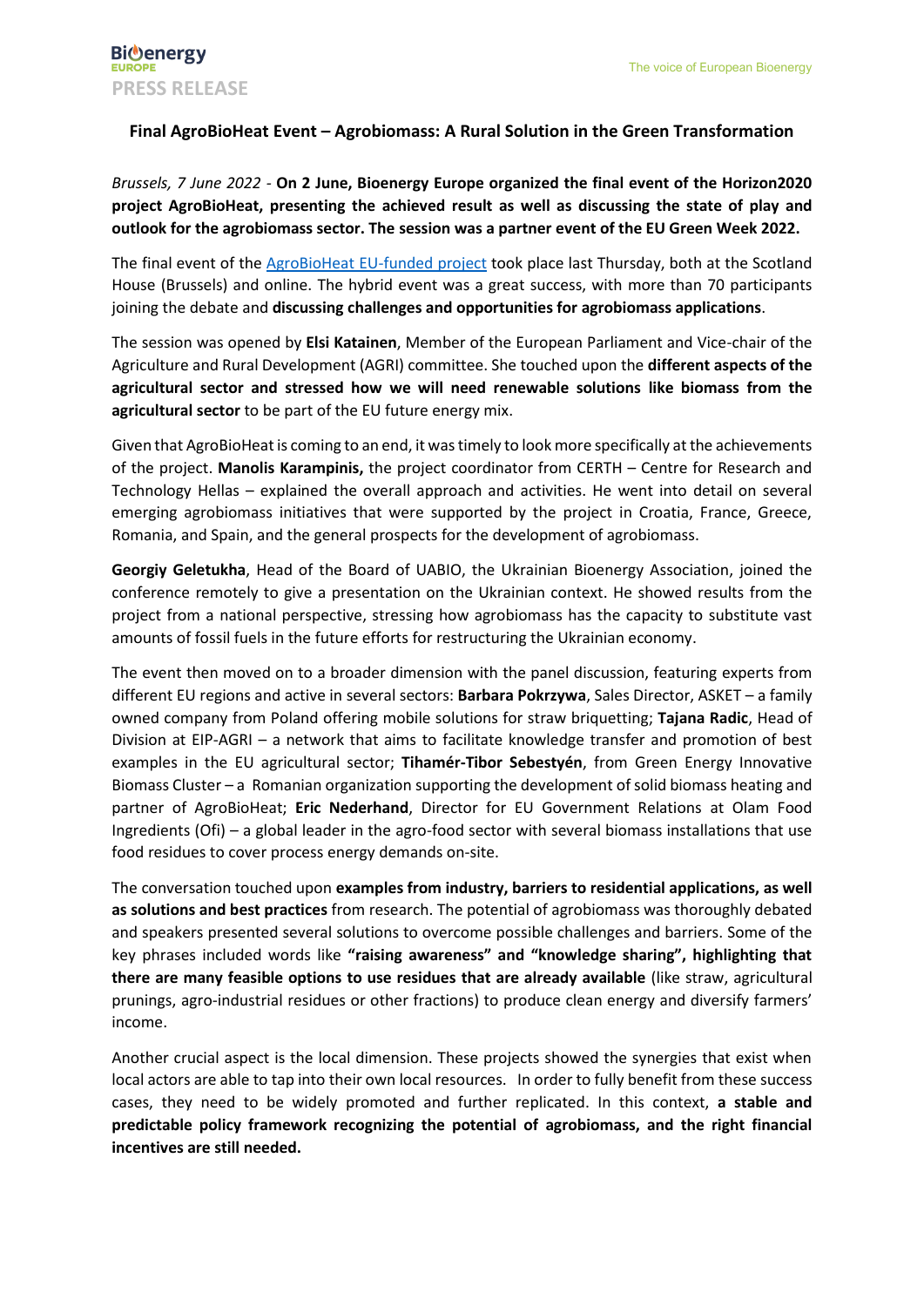## **Final AgroBioHeat Event – Agrobiomass: A Rural Solution in the Green Transformation**

*Brussels, 7 June 2022 -* **On 2 June, Bioenergy Europe organized the final event of the Horizon2020 project AgroBioHeat, presenting the achieved result as well as discussing the state of play and outlook for the agrobiomass sector. The session was a partner event of the EU Green Week 2022.**

The final event of the [AgroBioHeat EU-funded project](https://agrobioheat.eu/) took place last Thursday, both at the Scotland House (Brussels) and online. The hybrid event was a great success, with more than 70 participants joining the debate and **discussing challenges and opportunities for agrobiomass applications**.

The session was opened by **Elsi Katainen**, Member of the European Parliament and Vice-chair of the Agriculture and Rural Development (AGRI) committee. She touched upon the **different aspects of the agricultural sector and stressed how we will need renewable solutions like biomass from the agricultural sector** to be part of the EU future energy mix.

Given that AgroBioHeat is coming to an end, it was timely to look more specifically at the achievements of the project. **Manolis Karampinis,** the project coordinator from CERTH – Centre for Research and Technology Hellas – explained the overall approach and activities. He went into detail on several emerging agrobiomass initiatives that were supported by the project in Croatia, France, Greece, Romania, and Spain, and the general prospects for the development of agrobiomass.

**Georgiy Geletukha**, Head of the Board of UABIO, the Ukrainian Bioenergy Association, joined the conference remotely to give a presentation on the Ukrainian context. He showed results from the project from a national perspective, stressing how agrobiomass has the capacity to substitute vast amounts of fossil fuels in the future efforts for restructuring the Ukrainian economy.

The event then moved on to a broader dimension with the panel discussion, featuring experts from different EU regions and active in several sectors: **Barbara Pokrzywa**, Sales Director, ASKET – a family owned company from Poland offering mobile solutions for straw briquetting; **Tajana Radic**, Head of Division at EIP-AGRI – a network that aims to facilitate knowledge transfer and promotion of best examples in the EU agricultural sector; **Tihamér-Tibor Sebestyén**, from Green Energy Innovative Biomass Cluster – a Romanian organization supporting the development of solid biomass heating and partner of AgroBioHeat; **Eric Nederhand**, Director for EU Government Relations at Olam Food Ingredients (Ofi) – a global leader in the agro-food sector with several biomass installations that use food residues to cover process energy demands on-site.

The conversation touched upon **examples from industry, barriers to residential applications, as well as solutions and best practices** from research. The potential of agrobiomass was thoroughly debated and speakers presented several solutions to overcome possible challenges and barriers. Some of the key phrases included words like **"raising awareness" and "knowledge sharing", highlighting that there are many feasible options to use residues that are already available** (like straw, agricultural prunings, agro-industrial residues or other fractions) to produce clean energy and diversify farmers' income.

Another crucial aspect is the local dimension. These projects showed the synergies that exist when local actors are able to tap into their own local resources. In order to fully benefit from these success cases, they need to be widely promoted and further replicated. In this context, **a stable and predictable policy framework recognizing the potential of agrobiomass, and the right financial incentives are still needed.**